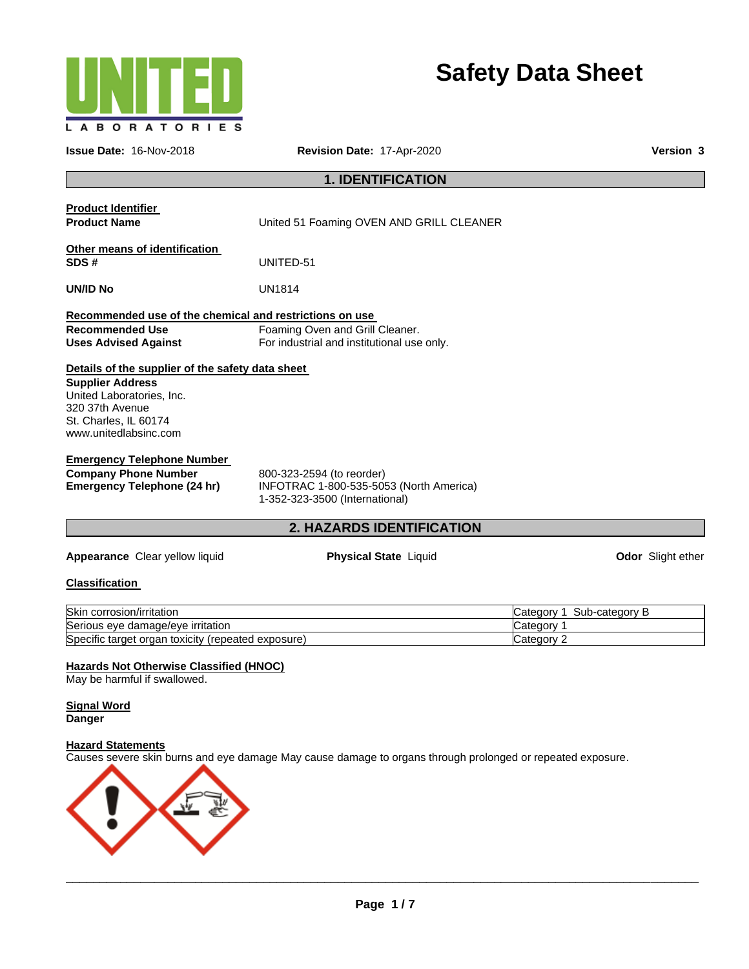

# **Safety Data Sheet**

| Issue Date: 16-Nov-2018                                                                                                                                                       | Revision Date: 17-Apr-2020                                                                             | <b>Version 3</b>                                      |
|-------------------------------------------------------------------------------------------------------------------------------------------------------------------------------|--------------------------------------------------------------------------------------------------------|-------------------------------------------------------|
|                                                                                                                                                                               | <b>1. IDENTIFICATION</b>                                                                               |                                                       |
| <b>Product Identifier</b><br><b>Product Name</b>                                                                                                                              | United 51 Foaming OVEN AND GRILL CLEANER                                                               |                                                       |
| Other means of identification<br>SDS#                                                                                                                                         | UNITED-51                                                                                              |                                                       |
| UN/ID No                                                                                                                                                                      | <b>UN1814</b>                                                                                          |                                                       |
| Recommended use of the chemical and restrictions on use<br><b>Recommended Use</b><br><b>Uses Advised Against</b>                                                              | Foaming Oven and Grill Cleaner.<br>For industrial and institutional use only.                          |                                                       |
| Details of the supplier of the safety data sheet<br><b>Supplier Address</b><br>United Laboratories, Inc.<br>320 37th Avenue<br>St. Charles, IL 60174<br>www.unitedlabsinc.com |                                                                                                        |                                                       |
| <b>Emergency Telephone Number</b><br><b>Company Phone Number</b><br><b>Emergency Telephone (24 hr)</b>                                                                        | 800-323-2594 (to reorder)<br>INFOTRAC 1-800-535-5053 (North America)<br>1-352-323-3500 (International) |                                                       |
|                                                                                                                                                                               | 2. HAZARDS IDENTIFICATION                                                                              |                                                       |
| Appearance Clear yellow liquid                                                                                                                                                | <b>Physical State Liquid</b>                                                                           | Odor Slight ether                                     |
| <b>Classification</b>                                                                                                                                                         |                                                                                                        |                                                       |
| Skin corrosion/irritation<br>Serious eye damage/eye irritation<br>Specific target organ toxicity (repeated exposure)                                                          |                                                                                                        | Category 1 Sub-category B<br>Category 1<br>Category 2 |
| <b>Hazards Not Otherwise Classified (HNOC)</b><br>May be harmful if swallowed.                                                                                                |                                                                                                        |                                                       |

**Signal Word Danger** 

# **Hazard Statements**

Causes severe skin burns and eye damage May cause damage to organs through prolonged or repeated exposure.

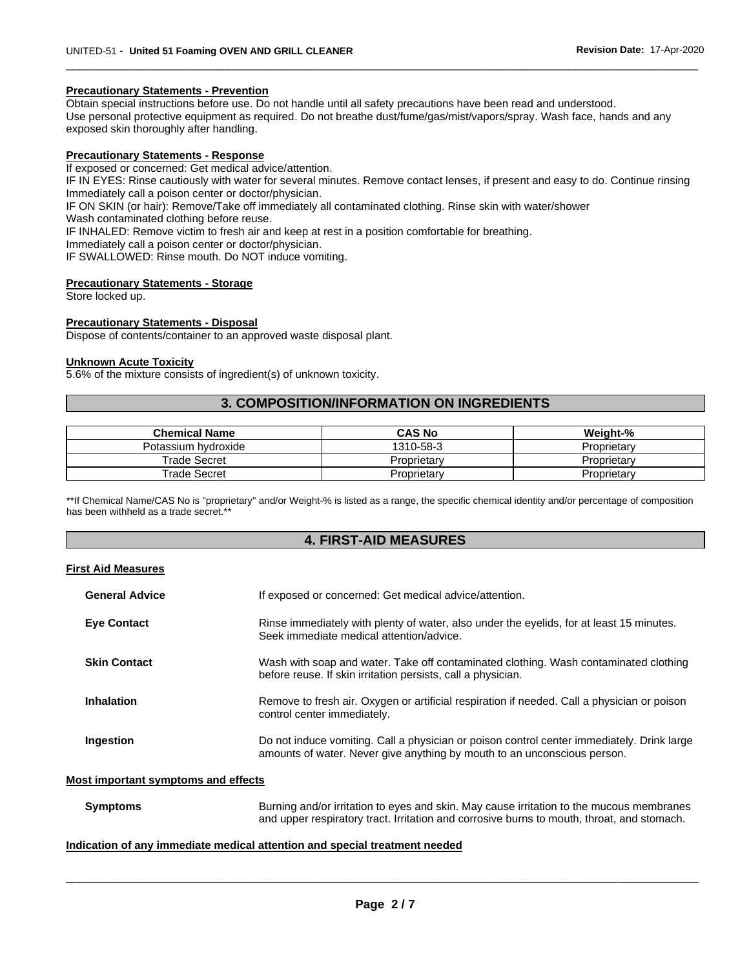#### **Precautionary Statements - Prevention**

Obtain special instructions before use. Do not handle until all safety precautions have been read and understood. Use personal protective equipment as required. Do not breathe dust/fume/gas/mist/vapors/spray. Wash face, hands and any exposed skin thoroughly after handling.

\_\_\_\_\_\_\_\_\_\_\_\_\_\_\_\_\_\_\_\_\_\_\_\_\_\_\_\_\_\_\_\_\_\_\_\_\_\_\_\_\_\_\_\_\_\_\_\_\_\_\_\_\_\_\_\_\_\_\_\_\_\_\_\_\_\_\_\_\_\_\_\_\_\_\_\_\_\_\_\_\_\_\_\_\_\_\_\_\_\_\_\_\_

#### **Precautionary Statements - Response**

If exposed or concerned: Get medical advice/attention.

IF IN EYES: Rinse cautiously with water for several minutes. Remove contact lenses, if present and easy to do. Continue rinsing Immediately call a poison center or doctor/physician.

IF ON SKIN (or hair): Remove/Take off immediately all contaminated clothing. Rinse skin with water/shower

Wash contaminated clothing before reuse.

IF INHALED: Remove victim to fresh air and keep at rest in a position comfortable for breathing.

Immediately call a poison center or doctor/physician.

IF SWALLOWED: Rinse mouth. Do NOT induce vomiting.

#### **Precautionary Statements - Storage**

Store locked up.

#### **Precautionary Statements - Disposal**

Dispose of contents/container to an approved waste disposal plant.

#### **Unknown Acute Toxicity**

5.6% of the mixture consists of ingredient(s) of unknown toxicity.

# **3. COMPOSITION/INFORMATION ON INGREDIENTS**

| <b>Chemical Name</b> | <b>CAS No</b> | Weight-%    |
|----------------------|---------------|-------------|
| Potassium hydroxide  | 1310-58-3     | Proprietarv |
| Trade Secret         | Proprietary   | Proprietarv |
| Trade Secret         | Proprietary   | Proprietarv |

\*\*If Chemical Name/CAS No is "proprietary" and/or Weight-% is listed as a range, the specific chemical identity and/or percentage of composition has been withheld as a trade secret.\*\*

#### **4. FIRST-AID MEASURES**

#### **First Aid Measures**

| <b>General Advice</b> | If exposed or concerned: Get medical advice/attention.                                                                                                                 |
|-----------------------|------------------------------------------------------------------------------------------------------------------------------------------------------------------------|
| <b>Eye Contact</b>    | Rinse immediately with plenty of water, also under the eyelids, for at least 15 minutes.<br>Seek immediate medical attention/advice.                                   |
| <b>Skin Contact</b>   | Wash with soap and water. Take off contaminated clothing. Wash contaminated clothing<br>before reuse. If skin irritation persists, call a physician.                   |
| <b>Inhalation</b>     | Remove to fresh air. Oxygen or artificial respiration if needed. Call a physician or poison<br>control center immediately.                                             |
| Ingestion             | Do not induce vomiting. Call a physician or poison control center immediately. Drink large<br>amounts of water. Never give anything by mouth to an unconscious person. |

#### **Most important symptoms and effects**

| <b>Symptoms</b> | Burning and/or irritation to eyes and skin. May cause irritation to the mucous membranes   |
|-----------------|--------------------------------------------------------------------------------------------|
|                 | and upper respiratory tract. Irritation and corrosive burns to mouth, throat, and stomach. |

#### **Indication of any immediate medical attention and special treatment needed**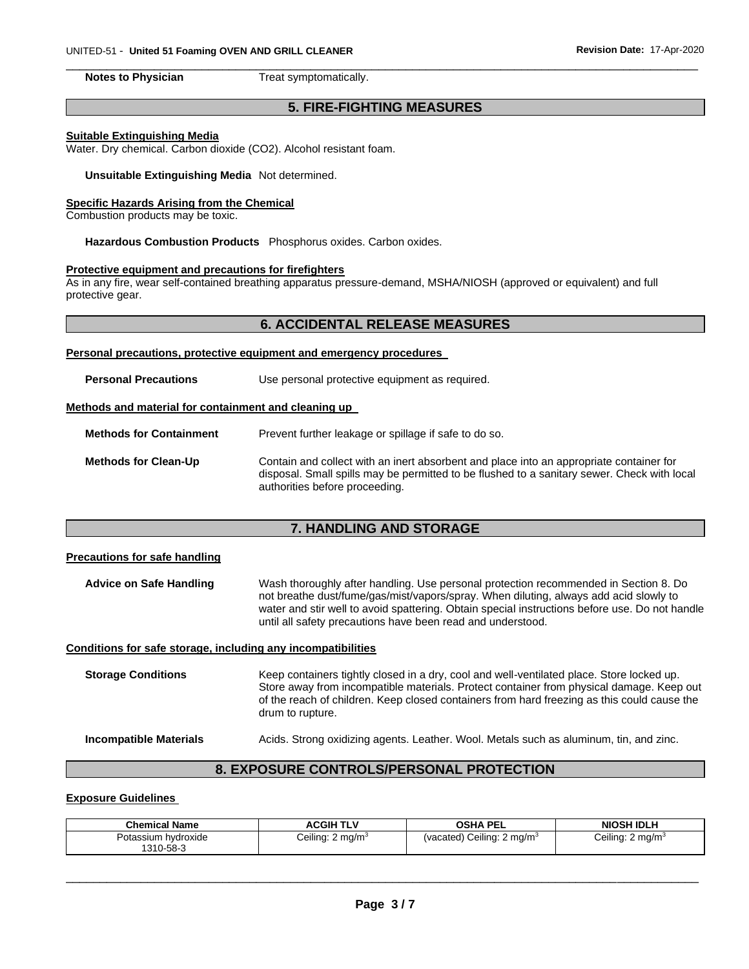\_\_\_\_\_\_\_\_\_\_\_\_\_\_\_\_\_\_\_\_\_\_\_\_\_\_\_\_\_\_\_\_\_\_\_\_\_\_\_\_\_\_\_\_\_\_\_\_\_\_\_\_\_\_\_\_\_\_\_\_\_\_\_\_\_\_\_\_\_\_\_\_\_\_\_\_\_\_\_\_\_\_\_\_\_\_\_\_\_\_\_\_\_ **Notes to Physician**  Treat symptomatically.

# **5. FIRE-FIGHTING MEASURES**

#### **Suitable Extinguishing Media**

Water. Dry chemical. Carbon dioxide (CO2). Alcohol resistant foam.

**Unsuitable Extinguishing Media** Not determined.

#### **Specific Hazards Arising from the Chemical**

Combustion products may be toxic.

**Hazardous Combustion Products** Phosphorus oxides. Carbon oxides.

#### **Protective equipment and precautions for firefighters**

As in any fire, wear self-contained breathing apparatus pressure-demand, MSHA/NIOSH (approved or equivalent) and full protective gear.

#### **6. ACCIDENTAL RELEASE MEASURES**

#### **Personal precautions, protective equipment and emergency procedures**

**Personal Precautions Use personal protective equipment as required.** 

#### **Methods and material for containment and cleaning up**

**Methods for Containment** Prevent further leakage or spillage if safe to do so.

**Methods for Clean-Up** Contain and collect with an inert absorbent and place into an appropriate container for disposal. Small spills may be permitted to be flushed to a sanitary sewer. Check with local authorities before proceeding.

### **7. HANDLING AND STORAGE**

#### **Precautions for safe handling**

**Advice on Safe Handling** Wash thoroughly after handling. Use personal protection recommended in Section 8. Do not breathe dust/fume/gas/mist/vapors/spray. When diluting, always add acid slowly to water and stir well to avoid spattering. Obtain special instructions before use. Do not handle until all safety precautions have been read and understood.

#### **Conditions for safe storage, including any incompatibilities**

**Storage Conditions Keep containers tightly closed in a dry, cool and well-ventilated place. Store locked up.** Store away from incompatible materials. Protect container from physical damage. Keep out of the reach of children. Keep closed containers from hard freezing as this could cause the drum to rupture.

**Incompatible Materials Acids. Strong oxidizing agents. Leather. Wool. Metals such as aluminum, tin, and zinc.** 

# **8. EXPOSURE CONTROLS/PERSONAL PROTECTION**

#### **Exposure Guidelines**

| <b>Chemical Name</b>             | TLV<br><b>ACGIH</b>         | <b>OSHA PEL</b>                       | <b>NIOSH IDLH</b>                 |
|----------------------------------|-----------------------------|---------------------------------------|-----------------------------------|
| Potassium hydroxide<br>1310-58-3 | Ceiling: $2 \text{ mg/m}^3$ | (vacated) Ceiling: $2 \text{ mg/m}^3$ | Ceiling: 2<br>. 2 mg/m $^{\circ}$ |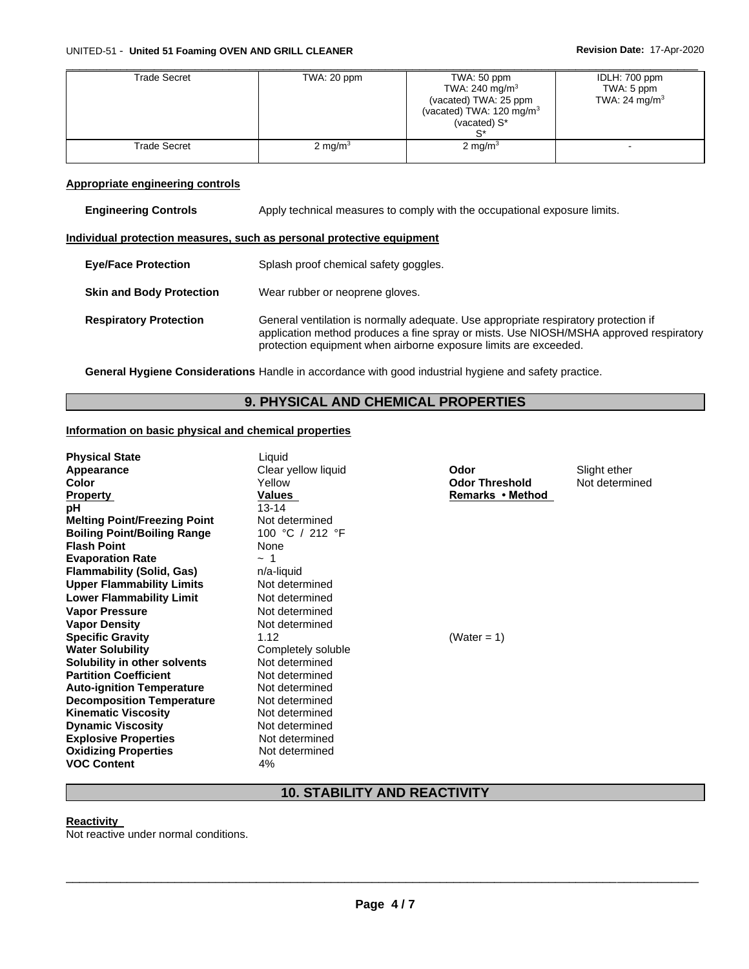| Trade Secret | TWA: 20 ppm | TWA: 50 ppm<br>TWA: 240 mg/m $3$<br>(vacated) TWA: 25 ppm | IDLH: 700 ppm<br>TWA: 5 ppm<br>TWA: 24 mg/m <sup>3</sup> |
|--------------|-------------|-----------------------------------------------------------|----------------------------------------------------------|
|              |             | (vacated) TWA: 120 mg/m <sup>3</sup><br>(vacated) S*      |                                                          |
| Trade Secret | 2 mg/ $m3$  | 2 mg/m $3$                                                |                                                          |

#### **Appropriate engineering controls**

| <b>Engineering Controls</b> | Apply technical measures to comply with the occupational exposure limits. |
|-----------------------------|---------------------------------------------------------------------------|
|                             | Individual protection measures, such as personal protective equipment     |

| <b>Eye/Face Protection</b> | Splash proof chemical safety goggles. |
|----------------------------|---------------------------------------|

**Skin and Body Protection** Wear rubber or neoprene gloves.

**Respiratory Protection** General ventilation is normally adequate. Use appropriate respiratory protection if application method produces a fine spray or mists. Use NIOSH/MSHA approved respiratory protection equipment when airborne exposure limits are exceeded.

**General Hygiene Considerations** Handle in accordance with good industrial hygiene and safety practice.

# **9. PHYSICAL AND CHEMICAL PROPERTIES**

#### **Information on basic physical and chemical properties**

| <b>Physical State</b>               | Liquid              |                       |                |
|-------------------------------------|---------------------|-----------------------|----------------|
| Appearance                          | Clear yellow liquid | Odor                  | Slight ether   |
| <b>Color</b>                        | Yellow              | <b>Odor Threshold</b> | Not determined |
| <b>Property</b>                     | Values              | Remarks • Method      |                |
| рH                                  | $13 - 14$           |                       |                |
| <b>Melting Point/Freezing Point</b> | Not determined      |                       |                |
| <b>Boiling Point/Boiling Range</b>  | 100 °C / 212 °F     |                       |                |
| <b>Flash Point</b>                  | <b>None</b>         |                       |                |
| <b>Evaporation Rate</b>             | $\sim$ 1            |                       |                |
| <b>Flammability (Solid, Gas)</b>    | $n/a$ -liquid       |                       |                |
| <b>Upper Flammability Limits</b>    | Not determined      |                       |                |
| <b>Lower Flammability Limit</b>     | Not determined      |                       |                |
| <b>Vapor Pressure</b>               | Not determined      |                       |                |
| <b>Vapor Density</b>                | Not determined      |                       |                |
| <b>Specific Gravity</b>             | 1.12                | (Water = 1)           |                |
| <b>Water Solubility</b>             | Completely soluble  |                       |                |
| Solubility in other solvents        | Not determined      |                       |                |
| <b>Partition Coefficient</b>        | Not determined      |                       |                |
| <b>Auto-ignition Temperature</b>    | Not determined      |                       |                |
| <b>Decomposition Temperature</b>    | Not determined      |                       |                |
| <b>Kinematic Viscosity</b>          | Not determined      |                       |                |
| <b>Dynamic Viscosity</b>            | Not determined      |                       |                |
| <b>Explosive Properties</b>         | Not determined      |                       |                |
| <b>Oxidizing Properties</b>         | Not determined      |                       |                |
| <b>VOC Content</b>                  | 4%                  |                       |                |

# **10. STABILITY AND REACTIVITY**

#### **Reactivity**

Not reactive under normal conditions.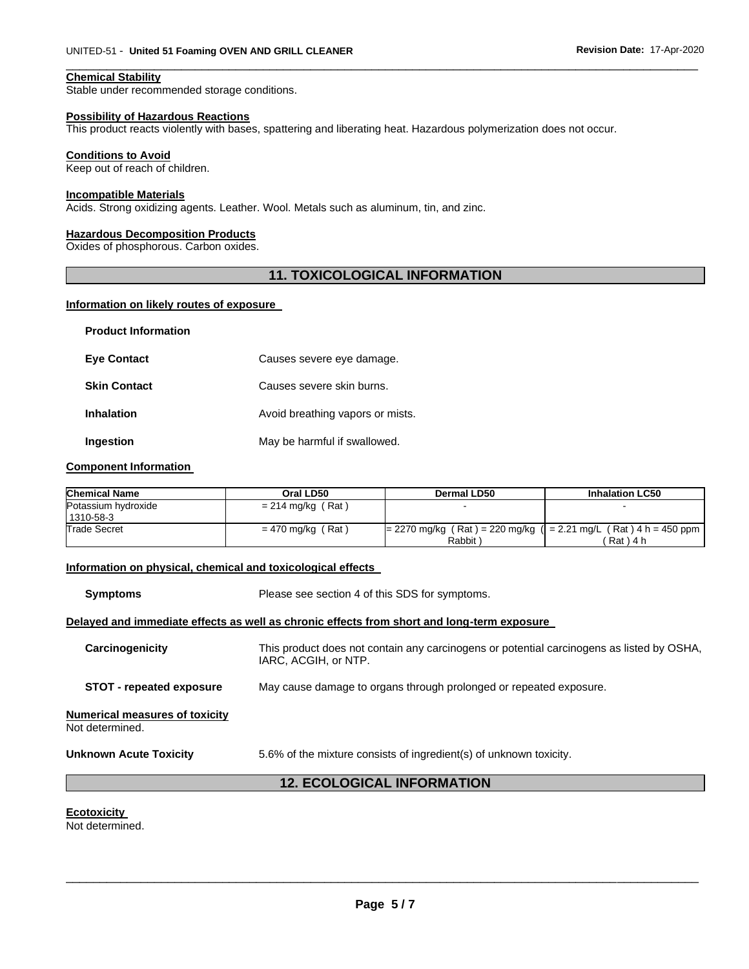### **Chemical Stability**

Stable under recommended storage conditions.

#### **Possibility of Hazardous Reactions**

This product reacts violently with bases, spattering and liberating heat. Hazardous polymerization does not occur.

#### **Conditions to Avoid**

Keep out of reach of children.

#### **Incompatible Materials**

Acids. Strong oxidizing agents. Leather. Wool. Metals such as aluminum, tin, and zinc.

#### **Hazardous Decomposition Products**

Oxides of phosphorous. Carbon oxides.

# **11. TOXICOLOGICAL INFORMATION**

\_\_\_\_\_\_\_\_\_\_\_\_\_\_\_\_\_\_\_\_\_\_\_\_\_\_\_\_\_\_\_\_\_\_\_\_\_\_\_\_\_\_\_\_\_\_\_\_\_\_\_\_\_\_\_\_\_\_\_\_\_\_\_\_\_\_\_\_\_\_\_\_\_\_\_\_\_\_\_\_\_\_\_\_\_\_\_\_\_\_\_\_\_

#### **Information on likely routes of exposure**

| <b>Product Information</b> |                                  |
|----------------------------|----------------------------------|
| <b>Eve Contact</b>         | Causes severe eye damage.        |
| <b>Skin Contact</b>        | Causes severe skin burns.        |
| <b>Inhalation</b>          | Avoid breathing vapors or mists. |
| Ingestion                  | May be harmful if swallowed.     |

#### **Component Information**

| <b>Chemical Name</b>             | Oral LD50           | Dermal LD50                                                                    | <b>Inhalation LC50</b> |
|----------------------------------|---------------------|--------------------------------------------------------------------------------|------------------------|
| Potassium hydroxide<br>1310-58-3 | $= 214$ mg/kg (Rat) |                                                                                |                        |
| <b>Trade Secret</b>              | $= 470$ mg/kg (Rat) | $= 2270$ mg/kg (Rat) = 220 mg/kg ( $= 2.21$ mg/L (Rat) 4 h = 450 ppm<br>Rabbit | (Rat)4 h               |

#### **Information on physical, chemical and toxicological effects**

**Symptoms** Please see section 4 of this SDS for symptoms.

#### **Delayed and immediate effects as well as chronic effects from short and long-term exposure**

| Carcinogenicity                                          | This product does not contain any carcinogens or potential carcinogens as listed by OSHA,<br>IARC, ACGIH, or NTP. |
|----------------------------------------------------------|-------------------------------------------------------------------------------------------------------------------|
| <b>STOT - repeated exposure</b>                          | May cause damage to organs through prolonged or repeated exposure.                                                |
| <b>Numerical measures of toxicity</b><br>Not determined. |                                                                                                                   |
| <b>Unknown Acute Toxicity</b>                            | 5.6% of the mixture consists of ingredient(s) of unknown toxicity.                                                |

# **12. ECOLOGICAL INFORMATION**

#### **Ecotoxicity**

Not determined.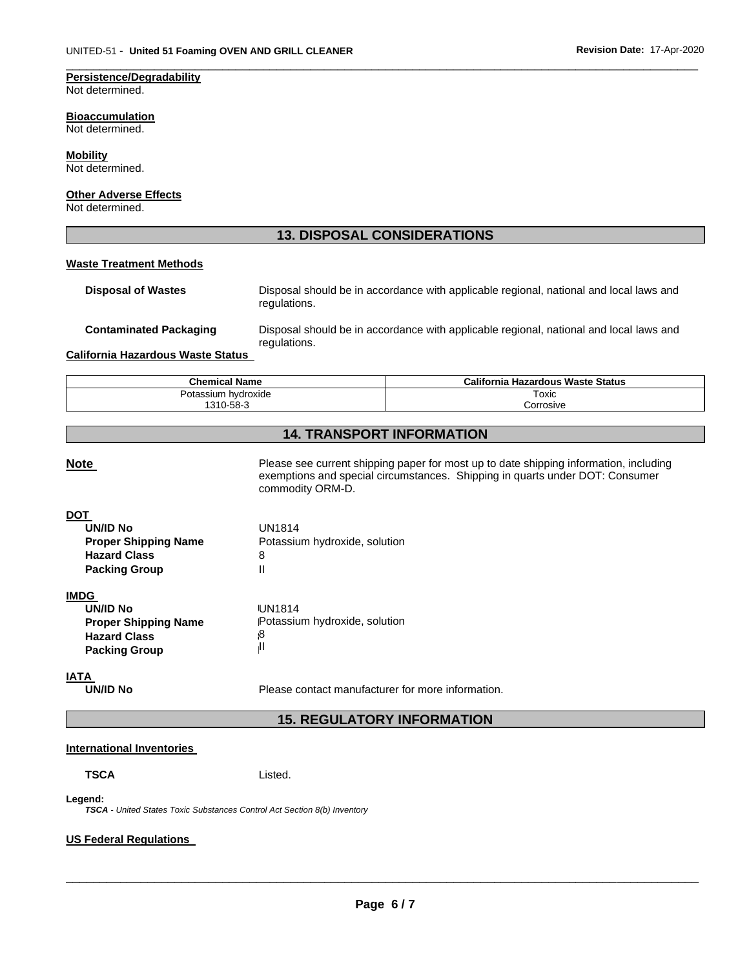# **Persistence/Degradability**

Not determined.

#### **Bioaccumulation**

Not determined.

# **Mobility**

Not determined.

#### **Other Adverse Effects**

Not determined.

# **13. DISPOSAL CONSIDERATIONS**

\_\_\_\_\_\_\_\_\_\_\_\_\_\_\_\_\_\_\_\_\_\_\_\_\_\_\_\_\_\_\_\_\_\_\_\_\_\_\_\_\_\_\_\_\_\_\_\_\_\_\_\_\_\_\_\_\_\_\_\_\_\_\_\_\_\_\_\_\_\_\_\_\_\_\_\_\_\_\_\_\_\_\_\_\_\_\_\_\_\_\_\_\_

#### **Waste Treatment Methods**

| <b>Disposal of Wastes</b>     | Disposal should be in accordance with applicable regional, national and local laws and<br>regulations. |
|-------------------------------|--------------------------------------------------------------------------------------------------------|
| <b>Contaminated Packaging</b> | Disposal should be in accordance with applicable regional, national and local laws and<br>regulations. |

#### **California Hazardous Waste Status**

| <b>Chemical Name</b>     | California<br>a Hazardous Waste Status |
|--------------------------|----------------------------------------|
| ı hvdroxide<br>Potassium | Toxic<br>___                           |
| 1310-58-3                | ∴orrosive                              |

# **14. TRANSPORT INFORMATION**

| <b>Note</b>                                                                                                  | Please see current shipping paper for most up to date shipping information, including<br>exemptions and special circumstances. Shipping in quarts under DOT: Consumer<br>commodity ORM-D. |  |  |
|--------------------------------------------------------------------------------------------------------------|-------------------------------------------------------------------------------------------------------------------------------------------------------------------------------------------|--|--|
| DOT<br><b>UN/ID No</b><br><b>Proper Shipping Name</b><br><b>Hazard Class</b><br><b>Packing Group</b>         | UN1814<br>Potassium hydroxide, solution<br>8<br>Ш                                                                                                                                         |  |  |
| <b>IMDG</b><br><b>UN/ID No</b><br><b>Proper Shipping Name</b><br><b>Hazard Class</b><br><b>Packing Group</b> | UN1814<br>Potassium hydroxide, solution<br>8<br>Ш                                                                                                                                         |  |  |
| IATA<br><b>UN/ID No</b>                                                                                      | Please contact manufacturer for more information.                                                                                                                                         |  |  |
| <b>15. REGULATORY INFORMATION</b>                                                                            |                                                                                                                                                                                           |  |  |

#### **International Inventories**

**TSCA** Listed.

# **Legend:**

*TSCA - United States Toxic Substances Control Act Section 8(b) Inventory* 

#### **US Federal Regulations**